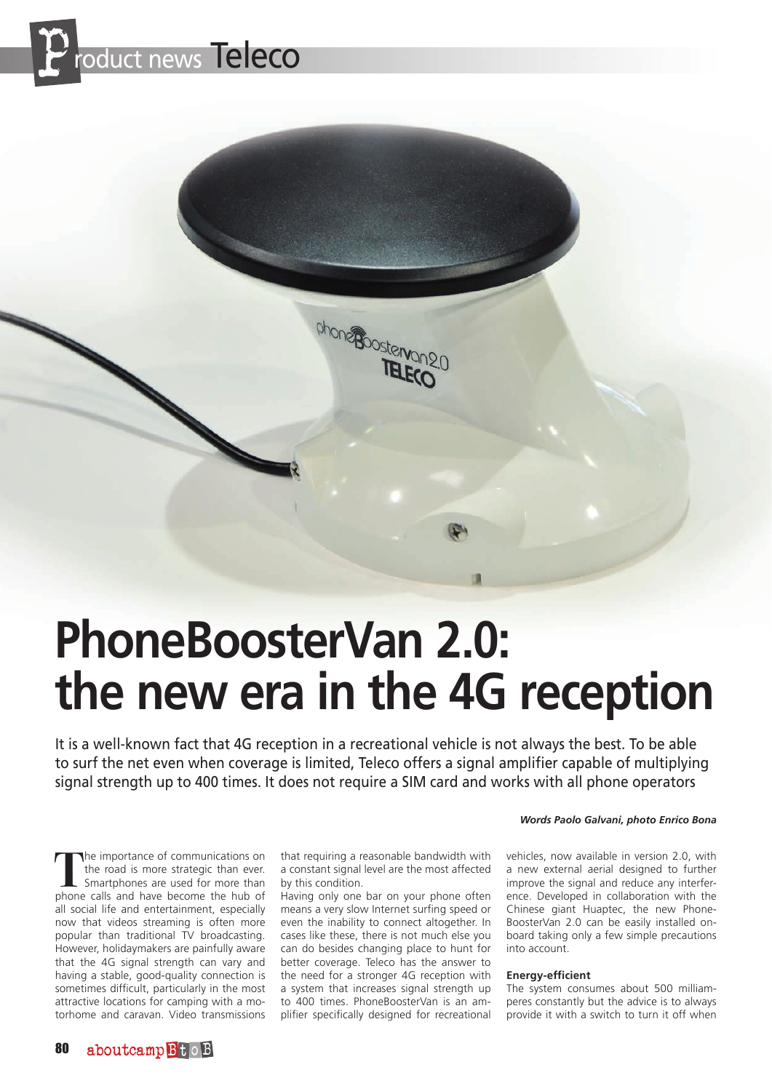

# **PhoneBoosterVan 2.0: the new era in the 4G reception**

chone poster angle

It is a well-known fact that 4G reception in a recreational vehicle is not always the best. To be able to surf the net even when coverage is limited, Teleco offers a signal amplifier capable of multiplying signal strength up to 400 times. It does not require a SIM card and works with all phone operators

**T**he importance of communications on the road is more strategic than ever. Smartphones are used for more than phone calls and have become the hub of all social life and entertainment, especially now that videos streaming is often more popular than traditional TV broadcasting. However, holidaymakers are painfully aware that the 4G signal strength can vary and having a stable, good-quality connection is sometimes difficult, particularly in the most attractive locations for camping with a motorhome and caravan. Video transmissions that requiring a reasonable bandwidth with a constant signal level are the most affected by this condition.

Having only one bar on your phone often means a very slow Internet surfing speed or even the inability to connect altogether. In cases like these, there is not much else you can do besides changing place to hunt for better coverage. Teleco has the answer to the need for a stronger 4G reception with a system that increases signal strength up to 400 times. PhoneBoosterVan is an amplifier specifically designed for recreational

#### *Words Paolo Galvani, photo Enrico Bona*

vehicles, now available in version 2.0, with a new external aerial designed to further improve the signal and reduce any interference. Developed in collaboration with the Chinese giant Huaptec, the new Phone-BoosterVan 2.0 can be easily installed onboard taking only a few simple precautions into account.

#### **Energy-efficient**

The system consumes about 500 milliamperes constantly but the advice is to always provide it with a switch to turn it off when